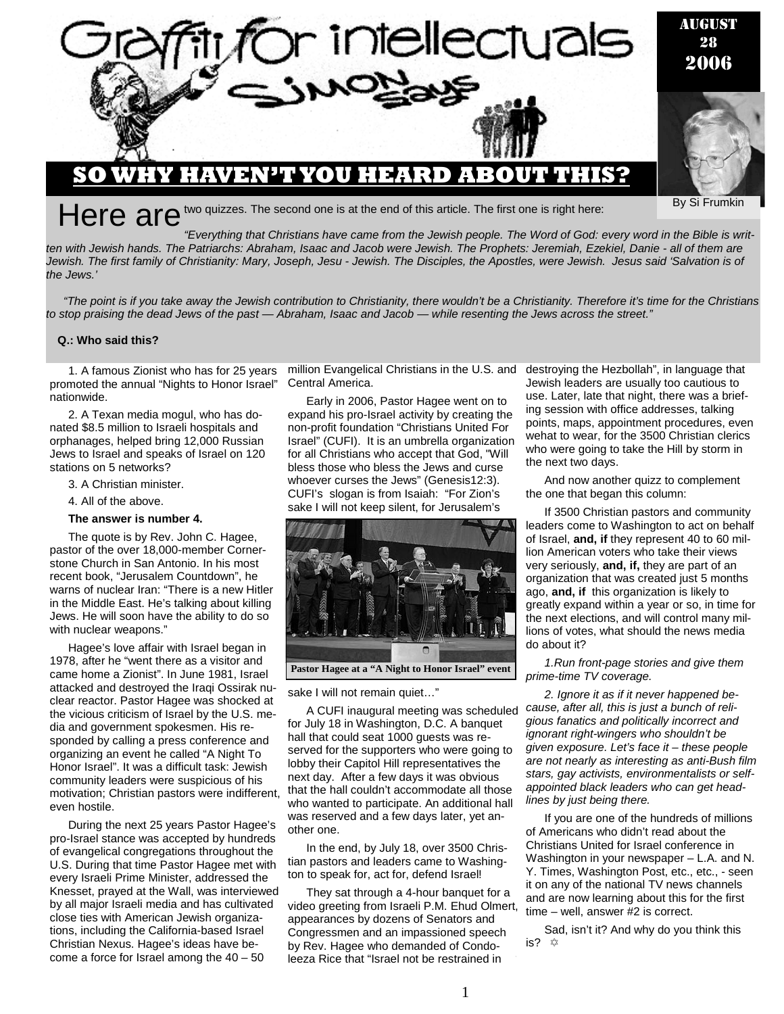

 *"Everything that Christians have came from the Jewish people. The Word of God: every word in the Bible is written with Jewish hands. The Patriarchs: Abraham, Isaac and Jacob were Jewish. The Prophets: Jeremiah, Ezekiel, Danie - all of them are Jewish. The first family of Christianity: Mary, Joseph, Jesu - Jewish. The Disciples, the Apostles, were Jewish. Jesus said 'Salvation is of the Jews.'* 

*"The point is if you take away the Jewish contribution to Christianity, there wouldn't be a Christianity. Therefore it's time for the Christians to stop praising the dead Jews of the past — Abraham, Isaac and Jacob — while resenting the Jews across the street."* 

### **Q.: Who said this?**

1. A famous Zionist who has for 25 years promoted the annual "Nights to Honor Israel" nationwide.

2. A Texan media mogul, who has donated \$8.5 million to Israeli hospitals and orphanages, helped bring 12,000 Russian Jews to Israel and speaks of Israel on 120 stations on 5 networks?

3. A Christian minister.

4. All of the above.

### **The answer is number 4.**

The quote is by Rev. John C. Hagee, pastor of the over 18,000-member Cornerstone Church in San Antonio. In his most recent book, "Jerusalem Countdown", he warns of nuclear Iran: "There is a new Hitler in the Middle East. He's talking about killing Jews. He will soon have the ability to do so with nuclear weapons."

Hagee's love affair with Israel began in 1978, after he "went there as a visitor and came home a Zionist". In June 1981, Israel attacked and destroyed the Iraqi Ossirak nuclear reactor. Pastor Hagee was shocked at the vicious criticism of Israel by the U.S. media and government spokesmen. His responded by calling a press conference and organizing an event he called "A Night To Honor Israel". It was a difficult task: Jewish community leaders were suspicious of his motivation; Christian pastors were indifferent, even hostile.

During the next 25 years Pastor Hagee's pro-Israel stance was accepted by hundreds of evangelical congregations throughout the U.S. During that time Pastor Hagee met with every Israeli Prime Minister, addressed the Knesset, prayed at the Wall, was interviewed by all major Israeli media and has cultivated close ties with American Jewish organizations, including the California-based Israel Christian Nexus. Hagee's ideas have become a force for Israel among the  $40 - 50$ 

million Evangelical Christians in the U.S. and destroying the Hezbollah", in language that Central America.

Early in 2006, Pastor Hagee went on to expand his pro-Israel activity by creating the non-profit foundation "Christians United For Israel" (CUFI). It is an umbrella organization for all Christians who accept that God, "Will bless those who bless the Jews and curse whoever curses the Jews" (Genesis12:3). CUFI's slogan is from Isaiah: "For Zion's sake I will not keep silent, for Jerusalem's



sake I will not remain quiet..."

A CUFI inaugural meeting was scheduled for July 18 in Washington, D.C. A banquet hall that could seat 1000 guests was reserved for the supporters who were going to lobby their Capitol Hill representatives the next day. After a few days it was obvious that the hall couldn't accommodate all those who wanted to participate. An additional hall was reserved and a few days later, yet another one.

In the end, by July 18, over 3500 Christian pastors and leaders came to Washington to speak for, act for, defend Israel!

They sat through a 4-hour banquet for a video greeting from Israeli P.M. Ehud Olmert, appearances by dozens of Senators and Congressmen and an impassioned speech by Rev. Hagee who demanded of Condoleeza Rice that "Israel not be restrained in

Jewish leaders are usually too cautious to use. Later, late that night, there was a briefing session with office addresses, talking points, maps, appointment procedures, even wehat to wear, for the 3500 Christian clerics who were going to take the Hill by storm in the next two days.

And now another quizz to complement the one that began this column:

If 3500 Christian pastors and community leaders come to Washington to act on behalf of Israel, **and, if** they represent 40 to 60 million American voters who take their views very seriously, **and, if,** they are part of an organization that was created just 5 months ago, **and, if** this organization is likely to greatly expand within a year or so, in time for the next elections, and will control many millions of votes, what should the news media do about it?

*1.Run front-page stories and give them prime-time TV coverage.* 

*2. Ignore it as if it never happened because, after all, this is just a bunch of religious fanatics and politically incorrect and ignorant right-wingers who shouldn't be given exposure. Let's face it – these people are not nearly as interesting as anti-Bush film stars, gay activists, environmentalists or selfappointed black leaders who can get headlines by just being there.* 

If you are one of the hundreds of millions of Americans who didn't read about the Christians United for Israel conference in Washington in your newspaper – L.A. and N. Y. Times, Washington Post, etc., etc., - seen it on any of the national TV news channels and are now learning about this for the first time – well, answer #2 is correct.

Sad, isn't it? And why do you think this is?  $\Leftrightarrow$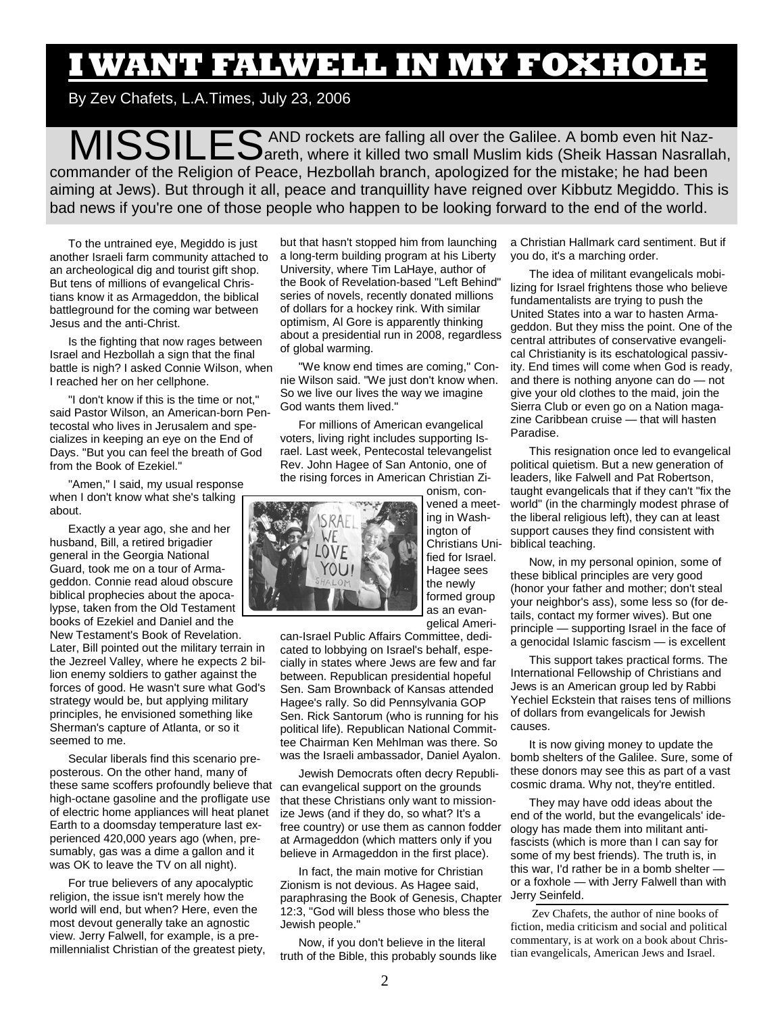# **I WANT FALWELL IN MY FOXHOLE**

By Zev Chafets, L.A.Times, July 23, 2006

MISSILES AND rockets are falling all over the Galilee. A bomb even hit Naz-areth, where it killed two small Muslim kids (Sheik Hassan Nasrallah, commander of the Religion of Peace, Hezbollah branch, apologized for the mistake; he had been aiming at Jews). But through it all, peace and tranquillity have reigned over Kibbutz Megiddo. This is bad news if you're one of those people who happen to be looking forward to the end of the world.

To the untrained eye, Megiddo is just another Israeli farm community attached to an archeological dig and tourist gift shop. But tens of millions of evangelical Christians know it as Armageddon, the biblical battleground for the coming war between Jesus and the anti-Christ.

Is the fighting that now rages between Israel and Hezbollah a sign that the final battle is nigh? I asked Connie Wilson, when I reached her on her cellphone.

"I don't know if this is the time or not," said Pastor Wilson, an American-born Pentecostal who lives in Jerusalem and specializes in keeping an eye on the End of Days. "But you can feel the breath of God from the Book of Ezekiel."

"Amen," I said, my usual response when I don't know what she's talking about.

Exactly a year ago, she and her husband, Bill, a retired brigadier general in the Georgia National Guard, took me on a tour of Armageddon. Connie read aloud obscure biblical prophecies about the apocalypse, taken from the Old Testament books of Ezekiel and Daniel and the New Testament's Book of Revelation. Later, Bill pointed out the military terrain in the Jezreel Valley, where he expects 2 billion enemy soldiers to gather against the forces of good. He wasn't sure what God's strategy would be, but applying military principles, he envisioned something like Sherman's capture of Atlanta, or so it seemed to me.

Secular liberals find this scenario preposterous. On the other hand, many of these same scoffers profoundly believe that high-octane gasoline and the profligate use of electric home appliances will heat planet Earth to a doomsday temperature last experienced 420,000 years ago (when, presumably, gas was a dime a gallon and it was OK to leave the TV on all night).

For true believers of any apocalyptic religion, the issue isn't merely how the world will end, but when? Here, even the most devout generally take an agnostic view. Jerry Falwell, for example, is a premillennialist Christian of the greatest piety, but that hasn't stopped him from launching a long-term building program at his Liberty University, where Tim LaHaye, author of the Book of Revelation-based "Left Behind" series of novels, recently donated millions of dollars for a hockey rink. With similar optimism, Al Gore is apparently thinking about a presidential run in 2008, regardless of global warming.

"We know end times are coming," Connie Wilson said. "We just don't know when. So we live our lives the way we imagine God wants them lived."

For millions of American evangelical voters, living right includes supporting Israel. Last week, Pentecostal televangelist Rev. John Hagee of San Antonio, one of the rising forces in American Christian Zi-



ing in Washington of Christians Unified for Israel. Hagee sees the newly formed group as an evangelical Ameri-

onism, con-

can-Israel Public Affairs Committee, dedicated to lobbying on Israel's behalf, especially in states where Jews are few and far between. Republican presidential hopeful Sen. Sam Brownback of Kansas attended Hagee's rally. So did Pennsylvania GOP Sen. Rick Santorum (who is running for his political life). Republican National Committee Chairman Ken Mehlman was there. So was the Israeli ambassador, Daniel Ayalon.

Jewish Democrats often decry Republican evangelical support on the grounds that these Christians only want to missionize Jews (and if they do, so what? It's a free country) or use them as cannon fodder at Armageddon (which matters only if you believe in Armageddon in the first place).

In fact, the main motive for Christian Zionism is not devious. As Hagee said, paraphrasing the Book of Genesis, Chapter 12:3, "God will bless those who bless the Jewish people."

Now, if you don't believe in the literal truth of the Bible, this probably sounds like a Christian Hallmark card sentiment. But if you do, it's a marching order.

The idea of militant evangelicals mobilizing for Israel frightens those who believe fundamentalists are trying to push the United States into a war to hasten Armageddon. But they miss the point. One of the central attributes of conservative evangelical Christianity is its eschatological passivity. End times will come when God is ready, and there is nothing anyone can do — not give your old clothes to the maid, join the Sierra Club or even go on a Nation magazine Caribbean cruise — that will hasten Paradise.

This resignation once led to evangelical political quietism. But a new generation of leaders, like Falwell and Pat Robertson, taught evangelicals that if they can't "fix the world" (in the charmingly modest phrase of the liberal religious left), they can at least support causes they find consistent with biblical teaching.

Now, in my personal opinion, some of these biblical principles are very good (honor your father and mother; don't steal your neighbor's ass), some less so (for details, contact my former wives). But one principle — supporting Israel in the face of a genocidal Islamic fascism — is excellent

This support takes practical forms. The International Fellowship of Christians and Jews is an American group led by Rabbi Yechiel Eckstein that raises tens of millions of dollars from evangelicals for Jewish causes.

It is now giving money to update the bomb shelters of the Galilee. Sure, some of these donors may see this as part of a vast cosmic drama. Why not, they're entitled.

They may have odd ideas about the end of the world, but the evangelicals' ideology has made them into militant antifascists (which is more than I can say for some of my best friends). The truth is, in this war, I'd rather be in a bomb shelter or a foxhole — with Jerry Falwell than with Jerry Seinfeld.

 Zev Chafets, the author of nine books of fiction, media criticism and social and political commentary, is at work on a book about Christian evangelicals, American Jews and Israel.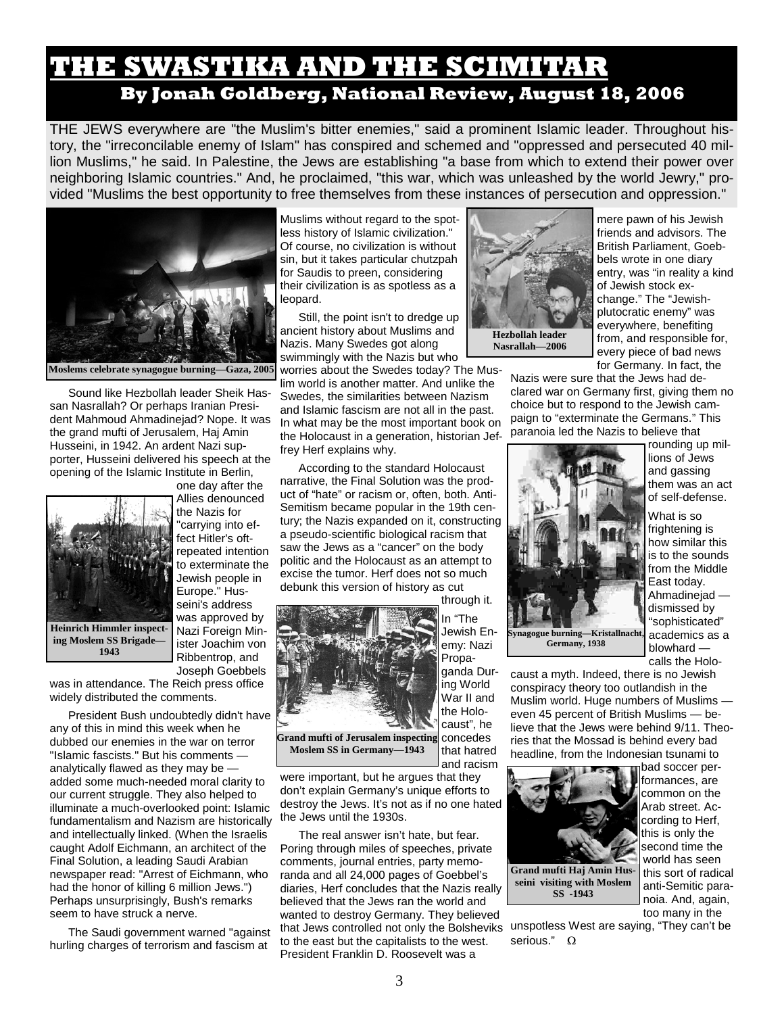### **THE SWASTIKA AND THE SCIMITAR By Jonah Goldberg, National Review, August 18, 2006**

THE JEWS everywhere are "the Muslim's bitter enemies," said a prominent Islamic leader. Throughout history, the "irreconcilable enemy of Islam" has conspired and schemed and "oppressed and persecuted 40 million Muslims," he said. In Palestine, the Jews are establishing "a base from which to extend their power over neighboring Islamic countries." And, he proclaimed, "this war, which was unleashed by the world Jewry," provided "Muslims the best opportunity to free themselves from these instances of persecution and oppression."



Sound like Hezbollah leader Sheik Hassan Nasrallah? Or perhaps Iranian President Mahmoud Ahmadinejad? Nope. It was the grand mufti of Jerusalem, Haj Amin Husseini, in 1942. An ardent Nazi supporter, Husseini delivered his speech at the opening of the Islamic Institute in Berlin,



Allies denounced the Nazis for "carrying into effect Hitler's oftrepeated intention to exterminate the Jewish people in Europe." Husseini's address was approved by Nazi Foreign Minister Joachim von Ribbentrop, and Joseph Goebbels

one day after the

was in attendance. The Reich press office widely distributed the comments.

President Bush undoubtedly didn't have any of this in mind this week when he dubbed our enemies in the war on terror "Islamic fascists." But his comments analytically flawed as they may be added some much-needed moral clarity to our current struggle. They also helped to illuminate a much-overlooked point: Islamic fundamentalism and Nazism are historically and intellectually linked. (When the Israelis caught Adolf Eichmann, an architect of the Final Solution, a leading Saudi Arabian newspaper read: "Arrest of Eichmann, who had the honor of killing 6 million Jews.") Perhaps unsurprisingly, Bush's remarks seem to have struck a nerve.

The Saudi government warned "against hurling charges of terrorism and fascism at

Muslims without regard to the spotless history of Islamic civilization." Of course, no civilization is without sin, but it takes particular chutzpah for Saudis to preen, considering their civilization is as spotless as a leopard.

Still, the point isn't to dredge up ancient history about Muslims and Nazis. Many Swedes got along swimmingly with the Nazis but who

worries about the Swedes today? The Muslim world is another matter. And unlike the Swedes, the similarities between Nazism and Islamic fascism are not all in the past. In what may be the most important book on the Holocaust in a generation, historian Jeffrey Herf explains why.

According to the standard Holocaust narrative, the Final Solution was the product of "hate" or racism or, often, both. Anti-Semitism became popular in the 19th century; the Nazis expanded on it, constructing a pseudo-scientific biological racism that saw the Jews as a "cancer" on the body politic and the Holocaust as an attempt to excise the tumor. Herf does not so much debunk this version of history as cut



**Grand mufti of Jerusalem inspecting Moslem SS in Germany—1943** 

were important, but he argues that they don't explain Germany's unique efforts to destroy the Jews. It's not as if no one hated the Jews until the 1930s.

The real answer isn't hate, but fear. Poring through miles of speeches, private comments, journal entries, party memoranda and all 24,000 pages of Goebbel's diaries, Herf concludes that the Nazis really believed that the Jews ran the world and wanted to destroy Germany. They believed that Jews controlled not only the Bolsheviks unspotless West are saying, "They can't be to the east but the capitalists to the west. President Franklin D. Roosevelt was a



mere pawn of his Jewish friends and advisors. The British Parliament, Goebbels wrote in one diary entry, was "in reality a kind of Jewish stock exchange." The "Jewishplutocratic enemy" was everywhere, benefiting from, and responsible for, every piece of bad news for Germany. In fact, the

Nazis were sure that the Jews had declared war on Germany first, giving them no choice but to respond to the Jewish campaign to "exterminate the Germans." This paranoia led the Nazis to believe that



rounding up millions of Jews and gassing them was an act of self-defense.

What is so frightening is how similar this is to the sounds from the Middle East today. Ahmadinejad dismissed by "sophisticated" academics as a blowhard calls the Holo-

caust a myth. Indeed, there is no Jewish conspiracy theory too outlandish in the Muslim world. Huge numbers of Muslims even 45 percent of British Muslims — believe that the Jews were behind 9/11. Theories that the Mossad is behind every bad headline, from the Indonesian tsunami to



bad soccer performances, are common on the Arab street. According to Herf, this is only the second time the world has seen this sort of radical anti-Semitic paranoia. And, again, too many in the

serious." Ω

Propaganda During World War II and the Holocaust", he concedes that hatred

and racism

through it. In "The Jewish Enemy: Nazi